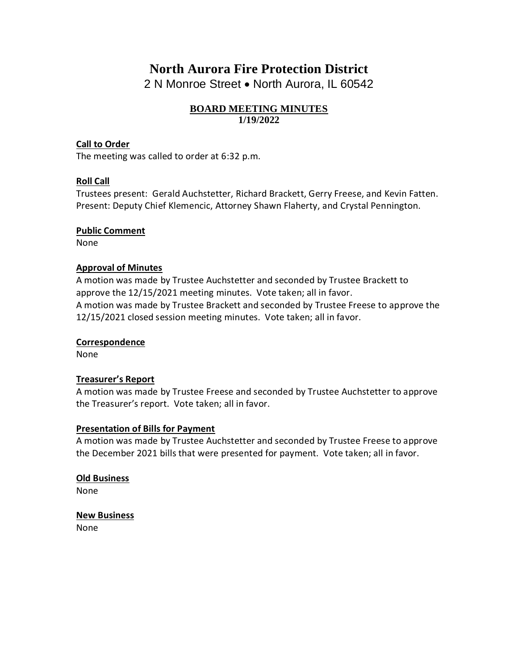# **North Aurora Fire Protection District**

2 N Monroe Street • North Aurora, IL 60542

# **BOARD MEETING MINUTES 1/19/2022**

# **Call to Order**

The meeting was called to order at 6:32 p.m.

# **Roll Call**

Trustees present: Gerald Auchstetter, Richard Brackett, Gerry Freese, and Kevin Fatten. Present: Deputy Chief Klemencic, Attorney Shawn Flaherty, and Crystal Pennington.

## **Public Comment**

None

## **Approval of Minutes**

A motion was made by Trustee Auchstetter and seconded by Trustee Brackett to approve the 12/15/2021 meeting minutes. Vote taken; all in favor. A motion was made by Trustee Brackett and seconded by Trustee Freese to approve the 12/15/2021 closed session meeting minutes. Vote taken; all in favor.

## **Correspondence**

None

## **Treasurer's Report**

A motion was made by Trustee Freese and seconded by Trustee Auchstetter to approve the Treasurer's report. Vote taken; all in favor.

## **Presentation of Bills for Payment**

A motion was made by Trustee Auchstetter and seconded by Trustee Freese to approve the December 2021 bills that were presented for payment. Vote taken; all in favor.

**Old Business** None

**New Business** None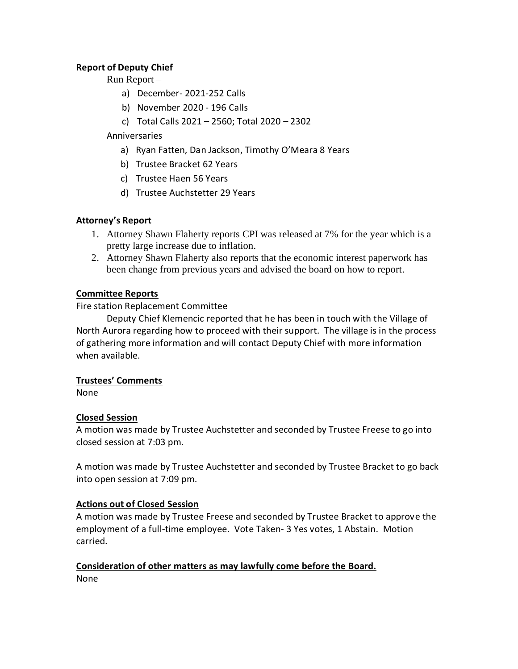# **Report of Deputy Chief**

## Run Report –

- a) December- 2021-252 Calls
- b) November 2020 196 Calls
- c) Total Calls 2021 2560; Total 2020 2302

# Anniversaries

- a) Ryan Fatten, Dan Jackson, Timothy O'Meara 8 Years
- b) Trustee Bracket 62 Years
- c) Trustee Haen 56 Years
- d) Trustee Auchstetter 29 Years

# **Attorney's Report**

- 1. Attorney Shawn Flaherty reports CPI was released at 7% for the year which is a pretty large increase due to inflation.
- 2. Attorney Shawn Flaherty also reports that the economic interest paperwork has been change from previous years and advised the board on how to report.

# **Committee Reports**

Fire station Replacement Committee

Deputy Chief Klemencic reported that he has been in touch with the Village of North Aurora regarding how to proceed with their support. The village is in the process of gathering more information and will contact Deputy Chief with more information when available.

# **Trustees' Comments**

None

# **Closed Session**

A motion was made by Trustee Auchstetter and seconded by Trustee Freese to go into closed session at 7:03 pm.

A motion was made by Trustee Auchstetter and seconded by Trustee Bracket to go back into open session at 7:09 pm.

# **Actions out of Closed Session**

A motion was made by Trustee Freese and seconded by Trustee Bracket to approve the employment of a full-time employee. Vote Taken- 3 Yes votes, 1 Abstain. Motion carried.

# **Consideration of other matters as may lawfully come before the Board.**

None